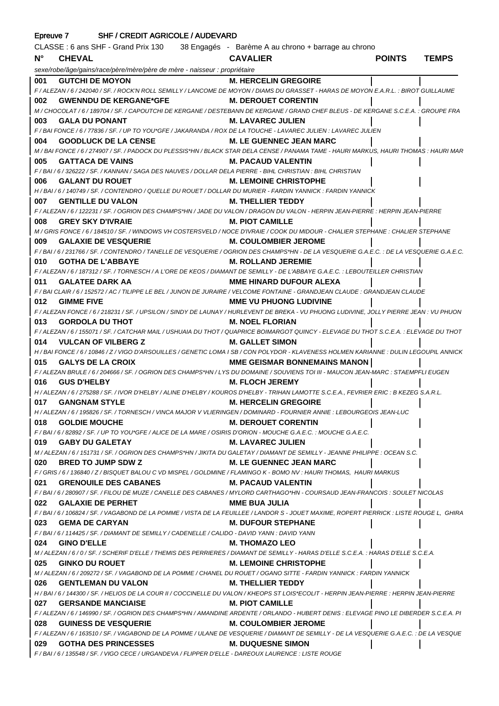|             | Epreuve 7 SHF / CREDIT AGRICOLE / AUDEVARD                                                                                                                  |                                       |               |              |  |
|-------------|-------------------------------------------------------------------------------------------------------------------------------------------------------------|---------------------------------------|---------------|--------------|--|
|             | CLASSE : 6 ans SHF - Grand Prix 130 38 Engagés - Barème A au chrono + barrage au chrono                                                                     |                                       |               |              |  |
| $N^{\circ}$ | <b>CHEVAL</b>                                                                                                                                               | <b>CAVALIER</b>                       | <b>POINTS</b> | <b>TEMPS</b> |  |
|             | sexe/robe/âge/gains/race/père/mère/père de mère - naisseur : propriétaire                                                                                   |                                       |               |              |  |
| 001         | <b>GUTCHI DE MOYON</b>                                                                                                                                      | <b>M. HERCELIN GREGOIRE</b>           |               |              |  |
|             | F / ALEZAN / 6 / 242040 / SF. / ROCK'N ROLL SEMILLY / LANCOME DE MOYON / DIAMS DU GRASSET - HARAS DE MOYON E.A.R.L. : BIROT GUILLAUME                       |                                       |               |              |  |
| 002         | <b>GWENNDU DE KERGANE*GFE</b>                                                                                                                               | <b>M. DEROUET CORENTIN</b>            |               |              |  |
|             | M / CHOCOLAT / 6 / 189704 / SF. / CAPOUTCHI DE KERGANE / DESTEBANN DE KERGANE / GRAND CHEF BLEUS - DE KERGANE S.C.E.A. : GROUPE FRA                         |                                       |               |              |  |
| 003         | <b>GALA DU PONANT</b>                                                                                                                                       | <b>M. LAVAREC JULIEN</b>              |               |              |  |
|             | F / BAI FONCE / 6 / 77836 / SF. / UP TO YOU*GFE / JAKARANDA / ROX DE LA TOUCHE - LAVAREC JULIEN : LAVAREC JULIEN                                            |                                       |               |              |  |
| 004         | <b>GOODLUCK DE LA CENSE</b>                                                                                                                                 | <b>M. LE GUENNEC JEAN MARC</b>        |               |              |  |
|             | M / BAI FONCE / 6 / 274907 / SF. / PADOCK DU PLESSIS*HN / BLACK STAR DELA CENSE / PANAMA TAME - HAURI MARKUS, HAURI THOMAS : HAURI MAR                      |                                       |               |              |  |
| 005         | <b>GATTACA DE VAINS</b>                                                                                                                                     | <b>M. PACAUD VALENTIN</b>             |               |              |  |
|             | F / BAI / 6 / 326222 / SF. / KANNAN / SAGA DES NAUVES / DOLLAR DELA PIERRE - BIHL CHRISTIAN : BIHL CHRISTIAN                                                |                                       |               |              |  |
| 006         | <b>GALANT DU ROUET</b>                                                                                                                                      | <b>M. LEMOINE CHRISTOPHE</b>          |               |              |  |
| 007         | H / BAI / 6 / 140749 / SF. / CONTENDRO / QUELLE DU ROUET / DOLLAR DU MURIER - FARDIN YANNICK : FARDIN YANNICK<br><b>GENTILLE DU VALON</b>                   | <b>M. THELLIER TEDDY</b>              |               |              |  |
|             | F / ALEZAN / 6 / 122231 / SF. / OGRION DES CHAMPS*HN / JADE DU VALON / DRAGON DU VALON - HERPIN JEAN-PIERRE : HERPIN JEAN-PIERRE                            |                                       |               |              |  |
| 008         | <b>GREY SKY D'IVRAIE</b>                                                                                                                                    | <b>M. PIOT CAMILLE</b>                |               |              |  |
|             | M / GRIS FONCE / 6 / 184510 / SF. / WINDOWS VH COSTERSVELD / NOCE D'IVRAIE / COOK DU MIDOUR - CHALIER STEPHANE : CHALIER STEPHANE                           |                                       |               |              |  |
| 009         | <b>GALAXIE DE VESQUERIE</b>                                                                                                                                 | <b>M. COULOMBIER JEROME</b>           |               |              |  |
|             | F / BAI / 6 / 231766 / SF. / CONTENDRO / TANELLE DE VESQUERIE / OGRION DES CHAMPS*HN - DE LA VESQUERIE G.A.E.C.                                             |                                       |               |              |  |
| 010         | <b>GOTHA DE L'ABBAYE</b>                                                                                                                                    | <b>M. ROLLAND JEREMIE</b>             |               |              |  |
|             | F / ALEZAN / 6 / 187312 / SF. / TORNESCH / A L'ORE DE KEOS / DIAMANT DE SEMILLY - DE L'ABBAYE G.A.E.C. : LEBOUTEILLER CHRISTIAN                             |                                       |               |              |  |
| 011         | <b>GALATEE DARK AA</b>                                                                                                                                      | <b>MME HINARD DUFOUR ALEXA</b>        |               |              |  |
|             | F / BAI CLAIR / 6 / 152572 / AC / TILIPPE LE BEL / JUNON DE JURAIRE / VELCOME FONTAINE - GRANDJEAN CLAUDE : GRANDJEAN CLAUDE                                |                                       |               |              |  |
| 012         | <b>GIMME FIVE</b>                                                                                                                                           | <b>MME VU PHUONG LUDIVINE</b>         |               |              |  |
|             | F / ALEZAN FONCE / 6 / 218231 / SF. / UPSILON / SINDY DE LAUNAY / HURLEVENT DE BREKA - VU PHUONG LUDIVINE, JOLLY PIERRE JEAN : VU PHUON                     |                                       |               |              |  |
| 013         | <b>GORDOLA DU THOT</b>                                                                                                                                      | <b>M. NOEL FLORIAN</b>                |               |              |  |
|             | F / ALEZAN / 6 / 155071 / SF. / CATCHAR MAIL / USHUAIA DU THOT / QUAPRICE BOIMARGOT QUINCY - ELEVAGE DU THOT S.C.E.A. : ELEVAGE DU THOT                     |                                       |               |              |  |
| 014         | <b>VULCAN OF VILBERG Z</b>                                                                                                                                  | <b>M. GALLET SIMON</b>                |               |              |  |
|             | H / BAI FONCE / 6 / 10846 / Z / VIGO D'ARSOUILLES / GENETIC LOMA I SB / CON POLYDOR - KLAVENESS HOLMEN KARIANNE : DULIN LEGOUPIL ANNICK                     |                                       |               |              |  |
| 015         | <b>GALYS DE LA CROIX</b>                                                                                                                                    | <b>MME GEISMAR BONNEMAINS MANON  </b> |               |              |  |
|             | F / ALEZAN BRULE / 6 / 204666 / SF. / OGRION DES CHAMPS*HN / LYS DU DOMAINE / SOUVIENS TOI III - MAUCON JEAN-MARC : STAEMPFLI EUGEN<br><b>GUS D'HELBY</b>   |                                       |               |              |  |
| 016         | H / ALEZAN / 6 / 275288 / SF. / IVOR D'HELBY / ALINE D'HELBY / KOUROS D'HELBY - TRIHAN LAMOTTE S.C.E.A., FEVRIER ERIC : B KEZEG S.A.R.L.                    | <b>M. FLOCH JEREMY</b>                |               |              |  |
|             | 017 GANGNAM STYLE                                                                                                                                           | <b>M. HERCELIN GREGOIRE</b>           |               |              |  |
|             | H / ALEZAN / 6 / 195826 / SF. / TORNESCH / VINCA MAJOR V VLIERINGEN / DOMINARD - FOURNIER ANNIE : LEBOURGEOIS JEAN-LUC                                      |                                       |               |              |  |
|             | 018 GOLDIE MOUCHE                                                                                                                                           | <b>M. DEROUET CORENTIN</b>            |               |              |  |
|             | F / BAI / 6 / 82892 / SF. / UP TO YOU*GFE / ALICE DE LA MARE / OSIRIS D'ORION - MOUCHE G.A.E.C. : MOUCHE G.A.E.C.                                           |                                       |               |              |  |
|             | 019 GABY DU GALETAY                                                                                                                                         | <b>M. LAVAREC JULIEN</b>              |               |              |  |
|             | M / ALEZAN / 6 / 151731 / SF. / OGRION DES CHAMPS*HN / JIKITA DU GALETAY / DIAMANT DE SEMILLY - JEANNE PHILIPPE : OCEAN S.C.                                |                                       |               |              |  |
|             | 020 BRED TO JUMP SDW Z M. LE GUENNEC JEAN MARC                                                                                                              |                                       |               |              |  |
|             | F / GRIS / 6 / 136840 / Z / BISQUET BALOU C VD MISPEL / GOLDMINE / FLAMINGO K - BOMO NV : HAURI THOMAS, HAURI MARKUS                                        |                                       |               |              |  |
|             | 021 GRENOUILE DES CABANES M. PACAUD VALENTIN                                                                                                                |                                       |               |              |  |
|             | F / BAI / 6 / 280907 / SF. / FILOU DE MUZE / CANELLE DES CABANES / MYLORD CARTHAGO*HN - COURSAUD JEAN-FRANCOIS : SOULET NICOLAS                             |                                       |               |              |  |
|             | 022 GALAXIE DE PERHET                                                                                                                                       | <b>MME BUA JULIA</b>                  |               |              |  |
|             | F / BAI / 6 / 106824 / SF. / VAGABOND DE LA POMME / VISTA DE LA FEUILLEE / LANDOR S - JOUET MAXIME, ROPERT PIERRICK : LISTE ROUGE L, GHIRA                  |                                       |               |              |  |
|             | 023 GEMA DE CARYAN                                                                                                                                          | M. DUFOUR STEPHANE                    |               |              |  |
|             | F/BAI/6/114425/SF./DIAMANT DE SEMILLY/CADENELLE/CALIDO - DAVID YANN : DAVID YANN                                                                            |                                       |               |              |  |
|             | 024 GINO D'ELLE                                                                                                                                             | M. THOMAZO LEO                        |               |              |  |
|             | M / ALEZAN / 6 / 0 / SF. / SCHERIF D'ELLE / THEMIS DES PERRIERES / DIAMANT DE SEMILLY - HARAS D'ELLE S.C.E.A. : HARAS D'ELLE S.C.E.A.<br>025 GINKO DU ROUET | <b>M. LEMOINE CHRISTOPHE</b>          |               |              |  |
|             | M / ALEZAN / 6 / 209272 / SF. / VAGABOND DE LA POMME / CHANEL DU ROUET / OGANO SITTE - FARDIN YANNICK : FARDIN YANNICK                                      |                                       |               |              |  |
|             | 026 GENTLEMAN DU VALON                                                                                                                                      | <b>M. THELLIER TEDDY</b>              |               |              |  |
|             | H / BAI / 6 / 144300 / SF. / HELIOS DE LA COUR II / COCCINELLE DU VALON / KHEOPS ST LOIS*ECOLIT - HERPIN JEAN-PIERRE : HERPIN JEAN-PIERRE                   |                                       |               |              |  |
|             | 027 GERSANDE MANCIAISE                                                                                                                                      | <b>M. PIOT CAMILLE</b>                |               |              |  |
|             | F / ALEZAN / 6 / 146990 / SF. / OGRION DES CHAMPS*HN / AMANDINE ARDENTE / ORLANDO - HUBERT DENIS : ELEVAGE PINO LE DIBERDER S.C.E.A. PI                     |                                       |               |              |  |
|             |                                                                                                                                                             |                                       |               |              |  |
|             | F / ALEZAN / 6 / 163510 / SF. / VAGABOND DE LA POMME / ULANE DE VESQUERIE / DIAMANT DE SEMILLY - DE LA VESQUERIE G.A.E.C. : DE LA VESQUE                    |                                       |               |              |  |
|             | 029 GOTHA DES PRINCESSES M. DUQUESNE SIMON                                                                                                                  |                                       |               |              |  |
|             | F/BAI/6/135548/SF./VIGO CECE/URGANDEVA/FLIPPER D'ELLE - DAREOUX LAURENCE : LISTE ROUGE                                                                      |                                       |               |              |  |